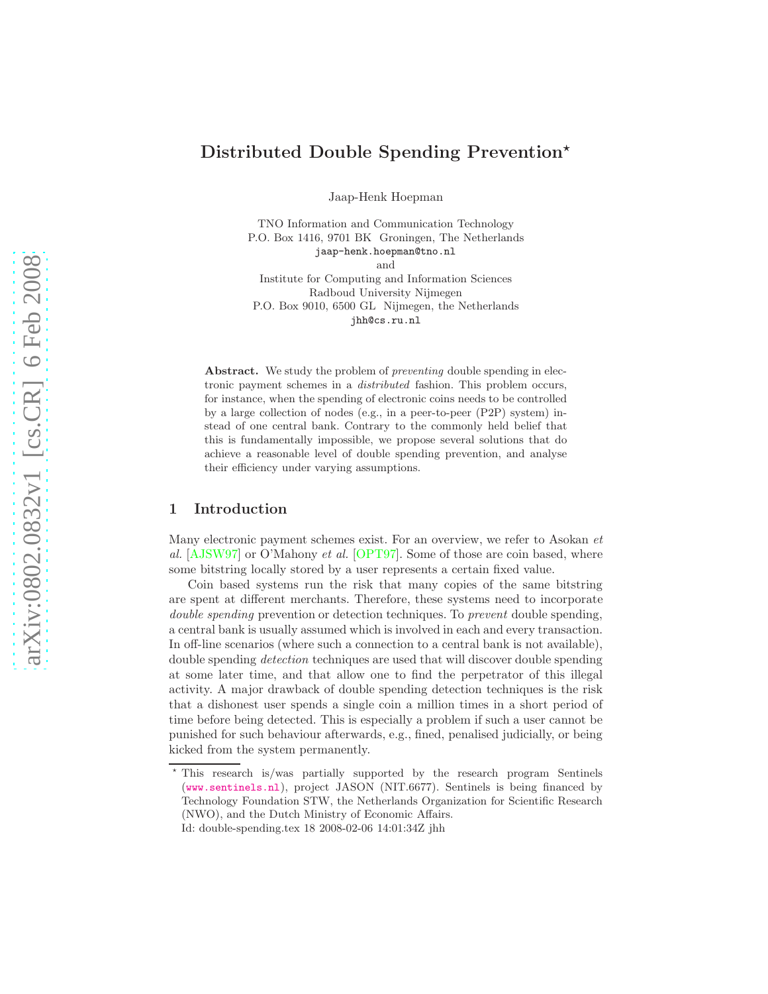# Distributed Double Spending Prevention<sup>\*</sup>

Jaap-Henk Hoepman

TNO Information and Communication Technology P.O. Box 1416, 9701 BK Groningen, The Netherlands jaap-henk.hoepman@tno.nl

and

Institute for Computing and Information Sciences Radboud University Nijmegen P.O. Box 9010, 6500 GL Nijmegen, the Netherlands jhh@cs.ru.nl

Abstract. We study the problem of *preventing* double spending in electronic payment schemes in a distributed fashion. This problem occurs, for instance, when the spending of electronic coins needs to be controlled by a large collection of nodes (e.g., in a peer-to-peer (P2P) system) instead of one central bank. Contrary to the commonly held belief that this is fundamentally impossible, we propose several solutions that do achieve a reasonable level of double spending prevention, and analyse their efficiency under varying assumptions.

# 1 Introduction

Many electronic payment schemes exist. For an overview, we refer to Asokan et al. [\[AJSW97\]](#page-13-0) or O'Mahony et al. [\[OPT97\]](#page-13-1). Some of those are coin based, where some bitstring locally stored by a user represents a certain fixed value.

Coin based systems run the risk that many copies of the same bitstring are spent at different merchants. Therefore, these systems need to incorporate double spending prevention or detection techniques. To prevent double spending, a central bank is usually assumed which is involved in each and every transaction. In off-line scenarios (where such a connection to a central bank is not available), double spending detection techniques are used that will discover double spending at some later time, and that allow one to find the perpetrator of this illegal activity. A major drawback of double spending detection techniques is the risk that a dishonest user spends a single coin a million times in a short period of time before being detected. This is especially a problem if such a user cannot be punished for such behaviour afterwards, e.g., fined, penalised judicially, or being kicked from the system permanently.

<sup>⋆</sup> This research is/was partially supported by the research program Sentinels (<www.sentinels.nl>), project JASON (NIT.6677). Sentinels is being financed by Technology Foundation STW, the Netherlands Organization for Scientific Research (NWO), and the Dutch Ministry of Economic Affairs. Id: double-spending.tex 18 2008-02-06 14:01:34Z jhh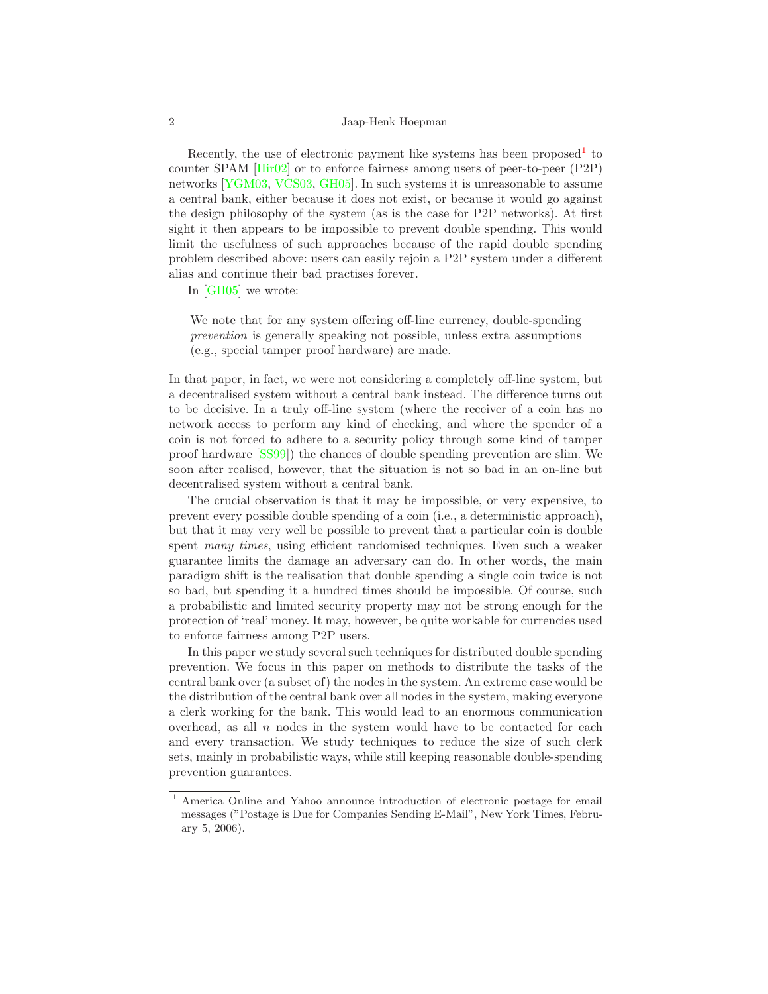#### 2 Jaap-Henk Hoepman

Recently, the use of electronic payment like systems has been proposed<sup>[1](#page-1-0)</sup> to counter SPAM [\[Hir02\]](#page-13-2) or to enforce fairness among users of peer-to-peer (P2P) networks [\[YGM03,](#page-14-0) [VCS03,](#page-13-3) [GH05\]](#page-13-4). In such systems it is unreasonable to assume a central bank, either because it does not exist, or because it would go against the design philosophy of the system (as is the case for P2P networks). At first sight it then appears to be impossible to prevent double spending. This would limit the usefulness of such approaches because of the rapid double spending problem described above: users can easily rejoin a P2P system under a different alias and continue their bad practises forever.

In [\[GH05\]](#page-13-4) we wrote:

We note that for any system offering off-line currency, double-spending prevention is generally speaking not possible, unless extra assumptions (e.g., special tamper proof hardware) are made.

In that paper, in fact, we were not considering a completely off-line system, but a decentralised system without a central bank instead. The difference turns out to be decisive. In a truly off-line system (where the receiver of a coin has no network access to perform any kind of checking, and where the spender of a coin is not forced to adhere to a security policy through some kind of tamper proof hardware [\[SS99\]](#page-13-5)) the chances of double spending prevention are slim. We soon after realised, however, that the situation is not so bad in an on-line but decentralised system without a central bank.

The crucial observation is that it may be impossible, or very expensive, to prevent every possible double spending of a coin (i.e., a deterministic approach), but that it may very well be possible to prevent that a particular coin is double spent many times, using efficient randomised techniques. Even such a weaker guarantee limits the damage an adversary can do. In other words, the main paradigm shift is the realisation that double spending a single coin twice is not so bad, but spending it a hundred times should be impossible. Of course, such a probabilistic and limited security property may not be strong enough for the protection of 'real' money. It may, however, be quite workable for currencies used to enforce fairness among P2P users.

In this paper we study several such techniques for distributed double spending prevention. We focus in this paper on methods to distribute the tasks of the central bank over (a subset of) the nodes in the system. An extreme case would be the distribution of the central bank over all nodes in the system, making everyone a clerk working for the bank. This would lead to an enormous communication overhead, as all  $n$  nodes in the system would have to be contacted for each and every transaction. We study techniques to reduce the size of such clerk sets, mainly in probabilistic ways, while still keeping reasonable double-spending prevention guarantees.

<span id="page-1-0"></span><sup>1</sup> America Online and Yahoo announce introduction of electronic postage for email messages ("Postage is Due for Companies Sending E-Mail", New York Times, February 5, 2006).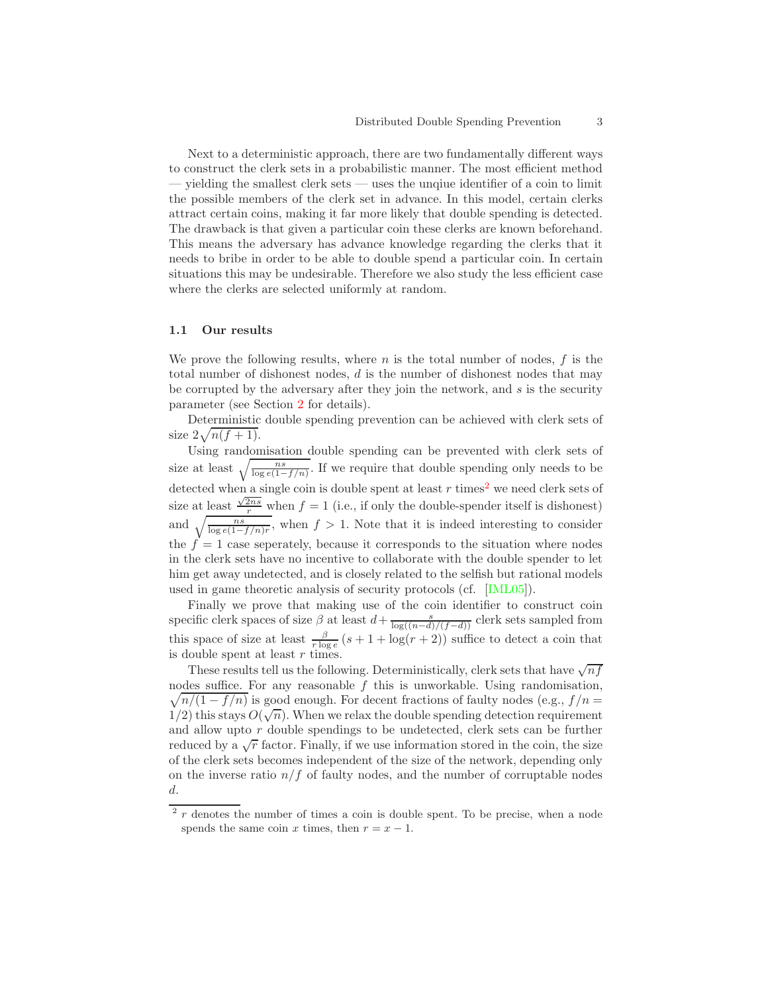Next to a deterministic approach, there are two fundamentally different ways to construct the clerk sets in a probabilistic manner. The most efficient method — yielding the smallest clerk sets — uses the unqiue identifier of a coin to limit the possible members of the clerk set in advance. In this model, certain clerks attract certain coins, making it far more likely that double spending is detected. The drawback is that given a particular coin these clerks are known beforehand. This means the adversary has advance knowledge regarding the clerks that it needs to bribe in order to be able to double spend a particular coin. In certain situations this may be undesirable. Therefore we also study the less efficient case where the clerks are selected uniformly at random.

### 1.1 Our results

We prove the following results, where  $n$  is the total number of nodes,  $f$  is the total number of dishonest nodes, d is the number of dishonest nodes that may be corrupted by the adversary after they join the network, and  $s$  is the security parameter (see Section [2](#page-3-0) for details).

Deterministic double spending prevention can be achieved with clerk sets of size  $2\sqrt{n(f+1)}$ .

Using randomisation double spending can be prevented with clerk sets of size at least  $\sqrt{\frac{ns}{\log e(1-f/n)}}$ . If we require that double spending only needs to be detected when a single coin is double spent at least  $r$  times<sup>[2](#page-2-0)</sup> we need clerk sets of size at <u>least  $\frac{\sqrt{2ns}}{r}$ </u> when  $f = 1$  (i.e., if only the double-spender itself is dishonest) and  $\sqrt{\frac{ns}{\log e(1-f/n)r}}$ , when  $f > 1$ . Note that it is indeed interesting to consider the  $f = 1$  case seperately, because it corresponds to the situation where nodes in the clerk sets have no incentive to collaborate with the double spender to let him get away undetected, and is closely related to the selfish but rational models used in game theoretic analysis of security protocols (cf. [\[IML05\]](#page-13-6)).

Finally we prove that making use of the coin identifier to construct coin specific clerk spaces of size  $\beta$  at least  $d + \frac{s}{\log((n-d)/(f-d))}$  clerk sets sampled from this space of size at least  $\frac{\beta}{r \log e}$   $(s + 1 + \log(r + 2))$  suffice to detect a coin that is double spent at least  $r$  times.

These results tell us the following. Deterministically, clerk sets that have  $\sqrt{n}f$  $\sqrt{n/(1-f/n)}$  is good enough. For decent fractions of faulty nodes (e.g.,  $f/n =$ nodes suffice. For any reasonable  $f$  this is unworkable. Using randomisation,  $1/2$ ) this stays  $O(\sqrt{n})$ . When we relax the double spending detection requirement and allow upto r double spendings to be undetected, clerk sets can be further reduced by a  $\sqrt{r}$  factor. Finally, if we use information stored in the coin, the size of the clerk sets becomes independent of the size of the network, depending only on the inverse ratio  $n/f$  of faulty nodes, and the number of corruptable nodes d.

<span id="page-2-0"></span> $2r$  denotes the number of times a coin is double spent. To be precise, when a node spends the same coin x times, then  $r = x - 1$ .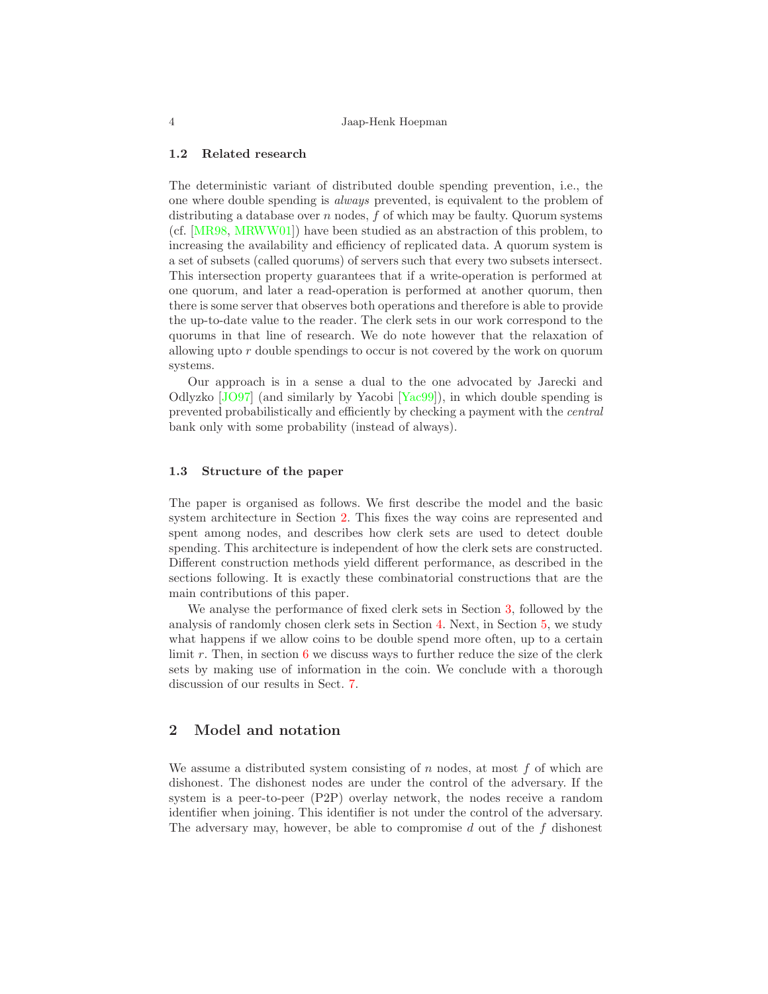## 1.2 Related research

The deterministic variant of distributed double spending prevention, i.e., the one where double spending is always prevented, is equivalent to the problem of distributing a database over n nodes,  $f$  of which may be faulty. Quorum systems (cf. [\[MR98,](#page-13-7) [MRWW01\]](#page-13-8)) have been studied as an abstraction of this problem, to increasing the availability and efficiency of replicated data. A quorum system is a set of subsets (called quorums) of servers such that every two subsets intersect. This intersection property guarantees that if a write-operation is performed at one quorum, and later a read-operation is performed at another quorum, then there is some server that observes both operations and therefore is able to provide the up-to-date value to the reader. The clerk sets in our work correspond to the quorums in that line of research. We do note however that the relaxation of allowing upto r double spendings to occur is not covered by the work on quorum systems.

Our approach is in a sense a dual to the one advocated by Jarecki and Odlyzko [\[JO97\]](#page-13-9) (and similarly by Yacobi [\[Yac99\]](#page-14-1)), in which double spending is prevented probabilistically and efficiently by checking a payment with the central bank only with some probability (instead of always).

## 1.3 Structure of the paper

The paper is organised as follows. We first describe the model and the basic system architecture in Section [2.](#page-3-0) This fixes the way coins are represented and spent among nodes, and describes how clerk sets are used to detect double spending. This architecture is independent of how the clerk sets are constructed. Different construction methods yield different performance, as described in the sections following. It is exactly these combinatorial constructions that are the main contributions of this paper.

We analyse the performance of fixed clerk sets in Section [3,](#page-6-0) followed by the analysis of randomly chosen clerk sets in Section [4.](#page-7-0) Next, in Section [5,](#page-8-0) we study what happens if we allow coins to be double spend more often, up to a certain limit  $r$ . Then, in section [6](#page-10-0) we discuss ways to further reduce the size of the clerk sets by making use of information in the coin. We conclude with a thorough discussion of our results in Sect. [7.](#page-12-0)

## <span id="page-3-0"></span>2 Model and notation

We assume a distributed system consisting of n nodes, at most  $f$  of which are dishonest. The dishonest nodes are under the control of the adversary. If the system is a peer-to-peer (P2P) overlay network, the nodes receive a random identifier when joining. This identifier is not under the control of the adversary. The adversary may, however, be able to compromise  $d$  out of the  $f$  dishonest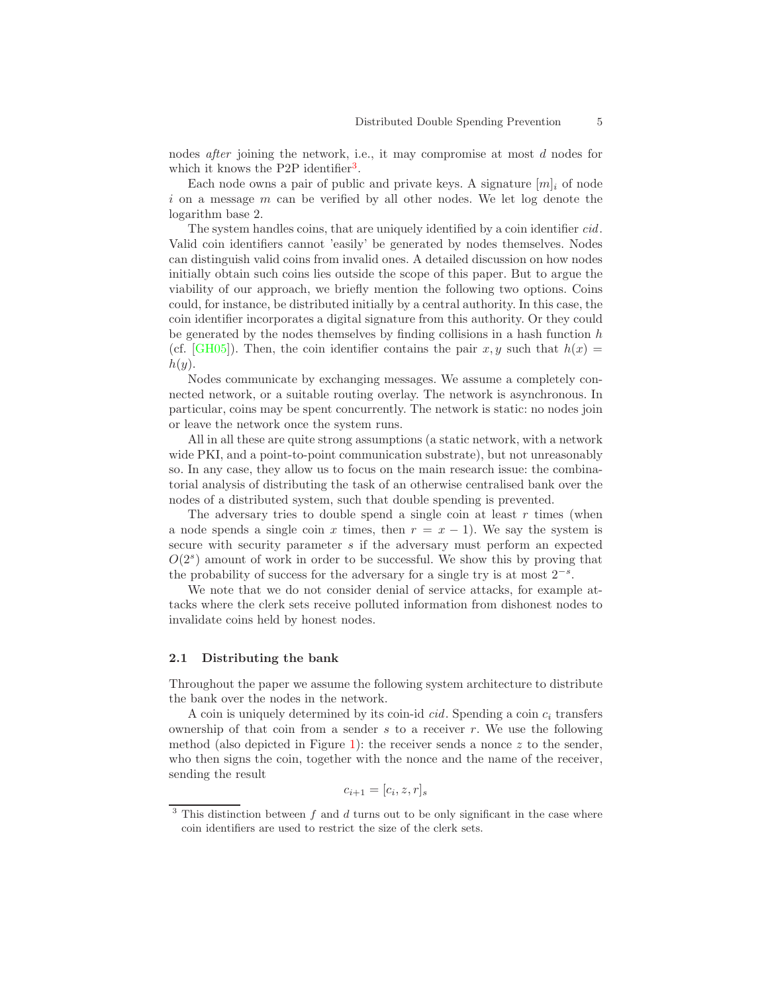nodes *after* joining the network, i.e., it may compromise at most d nodes for which it knows the P2P identifier<sup>[3](#page-4-0)</sup>.

Each node owns a pair of public and private keys. A signature  $[m]_i$  of node  $i$  on a message  $m$  can be verified by all other nodes. We let log denote the logarithm base 2.

The system handles coins, that are uniquely identified by a coin identifier cid. Valid coin identifiers cannot 'easily' be generated by nodes themselves. Nodes can distinguish valid coins from invalid ones. A detailed discussion on how nodes initially obtain such coins lies outside the scope of this paper. But to argue the viability of our approach, we briefly mention the following two options. Coins could, for instance, be distributed initially by a central authority. In this case, the coin identifier incorporates a digital signature from this authority. Or they could be generated by the nodes themselves by finding collisions in a hash function  $h$ (cf. [\[GH05\]](#page-13-4)). Then, the coin identifier contains the pair  $x, y$  such that  $h(x) =$  $h(y)$ .

Nodes communicate by exchanging messages. We assume a completely connected network, or a suitable routing overlay. The network is asynchronous. In particular, coins may be spent concurrently. The network is static: no nodes join or leave the network once the system runs.

All in all these are quite strong assumptions (a static network, with a network wide PKI, and a point-to-point communication substrate), but not unreasonably so. In any case, they allow us to focus on the main research issue: the combinatorial analysis of distributing the task of an otherwise centralised bank over the nodes of a distributed system, such that double spending is prevented.

The adversary tries to double spend a single coin at least  $r$  times (when a node spends a single coin x times, then  $r = x - 1$ ). We say the system is secure with security parameter s if the adversary must perform an expected  $O(2<sup>s</sup>)$  amount of work in order to be successful. We show this by proving that the probability of success for the adversary for a single try is at most  $2^{-s}$ .

We note that we do not consider denial of service attacks, for example attacks where the clerk sets receive polluted information from dishonest nodes to invalidate coins held by honest nodes.

#### 2.1 Distributing the bank

Throughout the paper we assume the following system architecture to distribute the bank over the nodes in the network.

A coin is uniquely determined by its coin-id *cid*. Spending a coin  $c_i$  transfers ownership of that coin from a sender s to a receiver r. We use the following method (also depicted in Figure [1\)](#page-5-0): the receiver sends a nonce  $z$  to the sender, who then signs the coin, together with the nonce and the name of the receiver, sending the result

$$
c_{i+1} = [c_i, z, r]_s
$$

<span id="page-4-0"></span> $3$  This distinction between  $f$  and  $d$  turns out to be only significant in the case where coin identifiers are used to restrict the size of the clerk sets.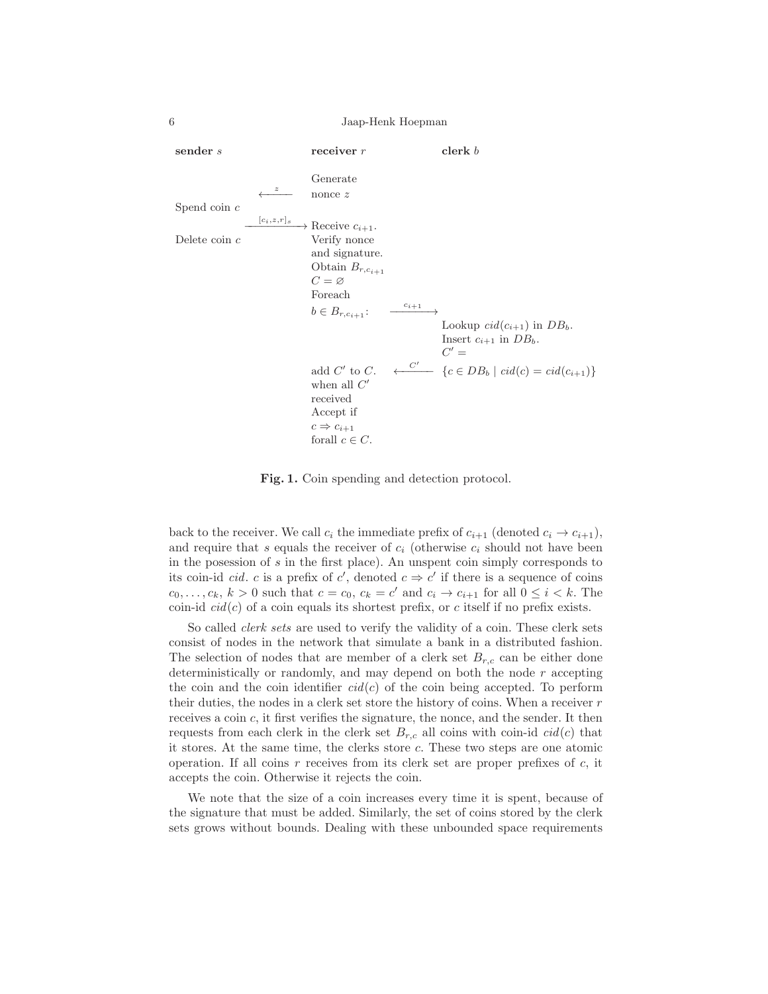6 Jaap-Henk Hoepman



<span id="page-5-0"></span>Fig. 1. Coin spending and detection protocol.

back to the receiver. We call  $c_i$  the immediate prefix of  $c_{i+1}$  (denoted  $c_i \rightarrow c_{i+1}$ ), and require that s equals the receiver of  $c_i$  (otherwise  $c_i$  should not have been in the posession of s in the first place). An unspent coin simply corresponds to its coin-id *cid.* c is a prefix of c', denoted  $c \Rightarrow c'$  if there is a sequence of coins  $c_0, \ldots, c_k, k > 0$  such that  $c = c_0, c_k = c'$  and  $c_i \to c_{i+1}$  for all  $0 \leq i < k$ . The coin-id  $cid(c)$  of a coin equals its shortest prefix, or c itself if no prefix exists.

So called *clerk sets* are used to verify the validity of a coin. These clerk sets consist of nodes in the network that simulate a bank in a distributed fashion. The selection of nodes that are member of a clerk set  $B_{r,c}$  can be either done deterministically or randomly, and may depend on both the node r accepting the coin and the coin identifier  $cid(c)$  of the coin being accepted. To perform their duties, the nodes in a clerk set store the history of coins. When a receiver  $r$ receives a coin  $c$ , it first verifies the signature, the nonce, and the sender. It then requests from each clerk in the clerk set  $B_{r,c}$  all coins with coin-id  $cid(c)$  that it stores. At the same time, the clerks store c. These two steps are one atomic operation. If all coins  $r$  receives from its clerk set are proper prefixes of  $c$ , it accepts the coin. Otherwise it rejects the coin.

We note that the size of a coin increases every time it is spent, because of the signature that must be added. Similarly, the set of coins stored by the clerk sets grows without bounds. Dealing with these unbounded space requirements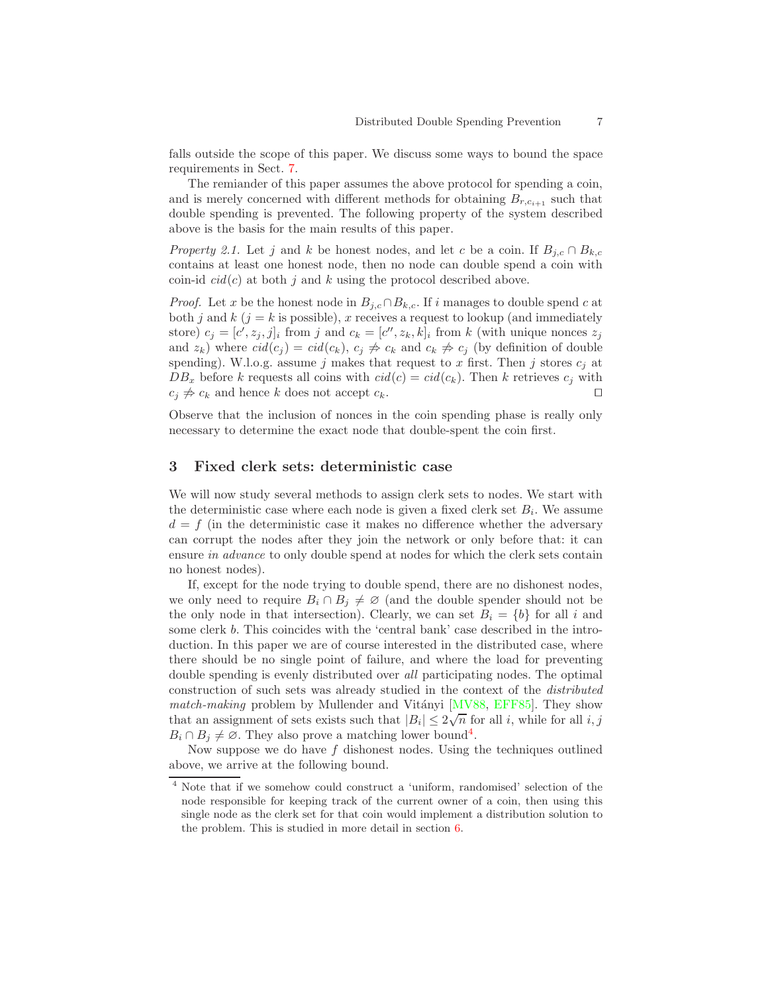falls outside the scope of this paper. We discuss some ways to bound the space requirements in Sect. [7.](#page-12-0)

The remiander of this paper assumes the above protocol for spending a coin, and is merely concerned with different methods for obtaining  $B_{r,c_{i+1}}$  such that double spending is prevented. The following property of the system described above is the basis for the main results of this paper.

*Property 2.1.* Let j and k be honest nodes, and let c be a coin. If  $B_{j,c} \cap B_{k,c}$ contains at least one honest node, then no node can double spend a coin with coin-id  $cid(c)$  at both j and k using the protocol described above.

*Proof.* Let x be the honest node in  $B_{j,c} \cap B_{k,c}$ . If i manages to double spend c at both j and  $k$  (j = k is possible), x receives a request to lookup (and immediately store)  $c_j = [c', z_j, j]_i$  from j and  $c_k = [c'', z_k, k]_i$  from k (with unique nonces  $z_j$ and  $z_k$ ) where  $cid(c_j) = cid(c_k)$ ,  $c_j \npreceq c_k$  and  $c_k \npreceq c_j$  (by definition of double spending). W.l.o.g. assume j makes that request to x first. Then j stores  $c_i$  at  $DB_x$  before k requests all coins with  $cid(c) = cid(c_k)$ . Then k retrieves  $c_i$  with  $c_j \neq c_k$  and hence k does not accept  $c_k$ . □

Observe that the inclusion of nonces in the coin spending phase is really only necessary to determine the exact node that double-spent the coin first.

## <span id="page-6-0"></span>3 Fixed clerk sets: deterministic case

We will now study several methods to assign clerk sets to nodes. We start with the deterministic case where each node is given a fixed clerk set  $B_i$ . We assume  $d = f$  (in the deterministic case it makes no difference whether the adversary can corrupt the nodes after they join the network or only before that: it can ensure in advance to only double spend at nodes for which the clerk sets contain no honest nodes).

If, except for the node trying to double spend, there are no dishonest nodes, we only need to require  $B_i \cap B_j \neq \emptyset$  (and the double spender should not be the only node in that intersection). Clearly, we can set  $B_i = \{b\}$  for all i and some clerk b. This coincides with the 'central bank' case described in the introduction. In this paper we are of course interested in the distributed case, where there should be no single point of failure, and where the load for preventing double spending is evenly distributed over all participating nodes. The optimal construction of such sets was already studied in the context of the distributed  $match$ -making problem by Mullender and Vitányi [\[MV88,](#page-13-10) [EFF85\]](#page-13-11). They show that an assignment of sets exists such that  $|B_i| \leq 2\sqrt{n}$  for all i, while for all i, j  $B_i \cap B_j \neq \emptyset$ . They also prove a matching lower bound<sup>[4](#page-6-1)</sup>.

Now suppose we do have  $f$  dishonest nodes. Using the techniques outlined above, we arrive at the following bound.

<span id="page-6-1"></span><sup>4</sup> Note that if we somehow could construct a 'uniform, randomised' selection of the node responsible for keeping track of the current owner of a coin, then using this single node as the clerk set for that coin would implement a distribution solution to the problem. This is studied in more detail in section [6.](#page-10-0)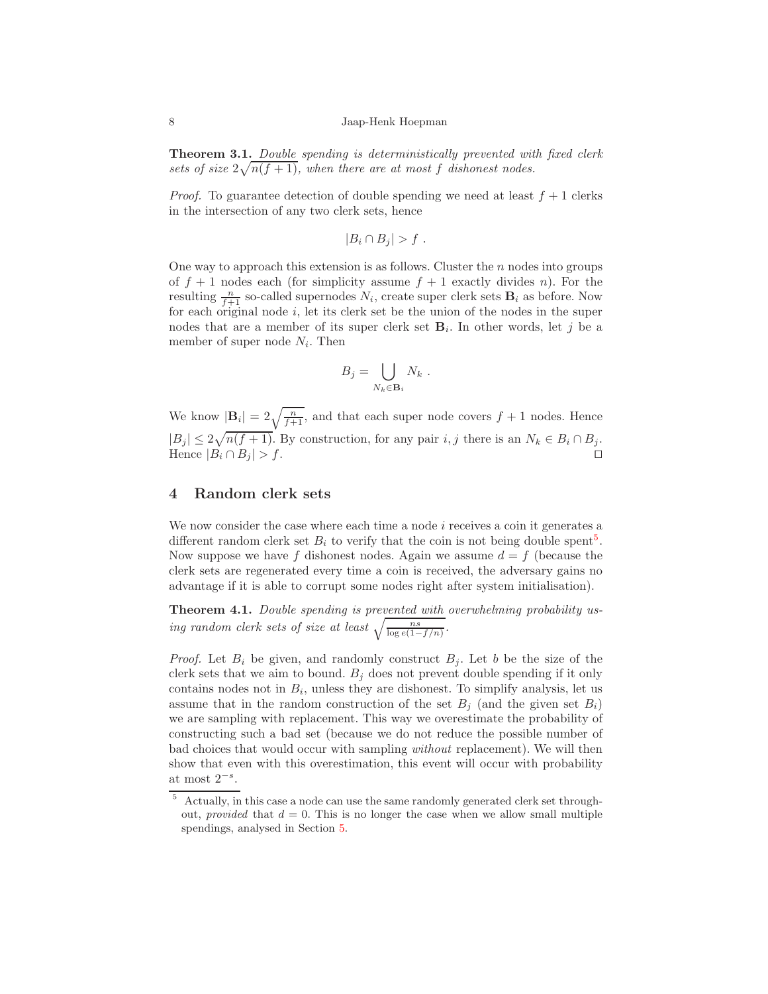Theorem 3.1. Double spending is deterministically prevented with fixed clerk sets of size  $2\sqrt{n(f+1)}$ , when there are at most f dishonest nodes.

*Proof.* To guarantee detection of double spending we need at least  $f + 1$  clerks in the intersection of any two clerk sets, hence

$$
|B_i \cap B_j| > f.
$$

One way to approach this extension is as follows. Cluster the  $n$  nodes into groups of  $f + 1$  nodes each (for simplicity assume  $f + 1$  exactly divides n). For the resulting  $\frac{n}{f+1}$  so-called supernodes  $N_i$ , create super clerk sets  $\mathbf{B}_i$  as before. Now for each original node  $i$ , let its clerk set be the union of the nodes in the super nodes that are a member of its super clerk set  $B_i$ . In other words, let j be a member of super node  $N_i$ . Then

<span id="page-7-2"></span>
$$
B_j = \bigcup_{N_k \in \mathbf{B}_i} N_k \; .
$$

We know  $|\mathbf{B}_i| = 2\sqrt{\frac{n}{f+1}}$ , and that each super node covers  $f + 1$  nodes. Hence  $|B_j| \leq 2\sqrt{n(f+1)}$ . By construction, for any pair  $i, j$  there is an  $N_k \in B_i \cap B_j$ . Hence  $|B_i \cap B_j| > f$ .

# <span id="page-7-0"></span>4 Random clerk sets

We now consider the case where each time a node  $i$  receives a coin it generates a different random clerk set  $B_i$  to verify that the coin is not being double spent<sup>[5](#page-7-1)</sup>. Now suppose we have f dishonest nodes. Again we assume  $d = f$  (because the clerk sets are regenerated every time a coin is received, the adversary gains no advantage if it is able to corrupt some nodes right after system initialisation).

**Theorem 4.1.** Double spending is prevented with overwhelming probability using random clerk sets of size at least  $\sqrt{\frac{ns}{\log e(1-f/n)}}$ .

*Proof.* Let  $B_i$  be given, and randomly construct  $B_j$ . Let b be the size of the clerk sets that we aim to bound.  $B_j$  does not prevent double spending if it only contains nodes not in  $B_i$ , unless they are dishonest. To simplify analysis, let us assume that in the random construction of the set  $B_j$  (and the given set  $B_i$ ) we are sampling with replacement. This way we overestimate the probability of constructing such a bad set (because we do not reduce the possible number of bad choices that would occur with sampling without replacement). We will then show that even with this overestimation, this event will occur with probability at most  $2^{-s}$ .

<span id="page-7-1"></span><sup>5</sup> Actually, in this case a node can use the same randomly generated clerk set throughout, provided that  $d = 0$ . This is no longer the case when we allow small multiple spendings, analysed in Section [5.](#page-8-0)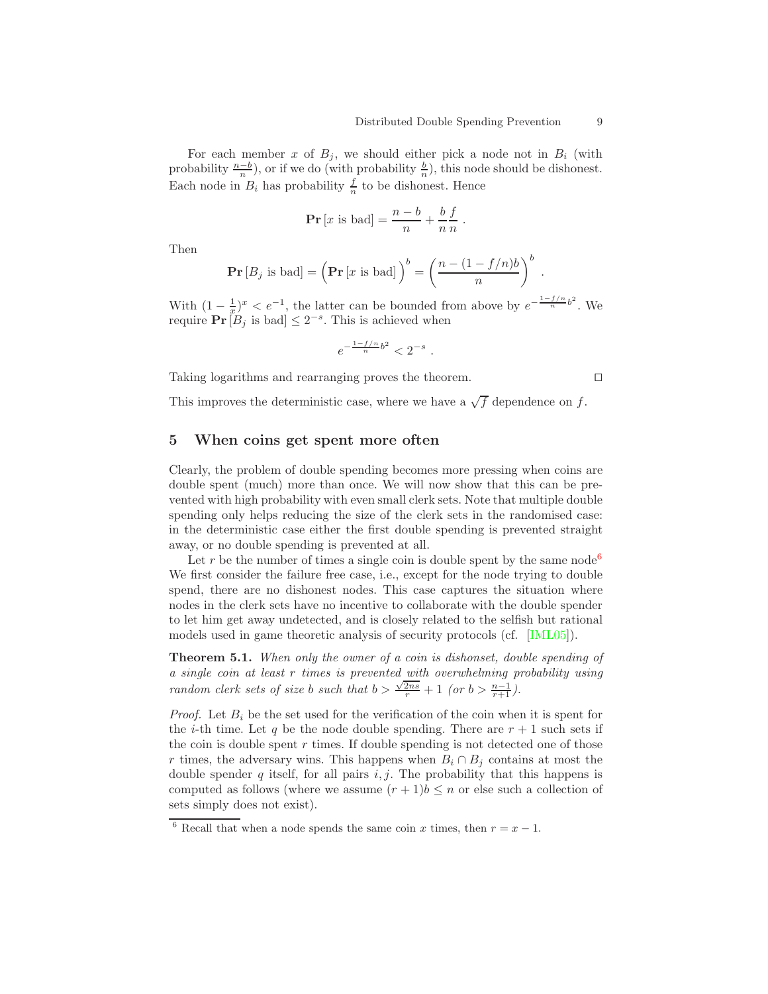For each member x of  $B_i$ , we should either pick a node not in  $B_i$  (with probability  $\frac{n-b}{n}$ ), or if we do (with probability  $\frac{b}{n}$ ), this node should be dishonest. Each node in  $B_i$  has probability  $\frac{f}{n}$  to be dishonest. Hence

$$
\Pr[x \text{ is bad}] = \frac{n-b}{n} + \frac{b}{n} \frac{f}{n} .
$$

Then

$$
\mathbf{Pr}\left[B_j \text{ is bad}\right] = \left(\mathbf{Pr}\left[x \text{ is bad}\right]\right)^b = \left(\frac{n - (1 - f/n)b}{n}\right)^b
$$

With  $(1 - \frac{1}{x})^x < e^{-1}$ , the latter can be bounded from above by  $e^{-\frac{1-f/n}{n}b^2}$ . We require  $\Pr[B_j \text{ is bad}] \leq 2^{-s}$ . This is achieved when

$$
e^{-\frac{1-f/n}{n}b^2}<2^{-s}\ .
$$

Taking logarithms and rearranging proves the theorem. □

<span id="page-8-2"></span>

.

This improves the deterministic case, where we have a  $\sqrt{f}$  dependence on f.

# <span id="page-8-0"></span>5 When coins get spent more often

Clearly, the problem of double spending becomes more pressing when coins are double spent (much) more than once. We will now show that this can be prevented with high probability with even small clerk sets. Note that multiple double spending only helps reducing the size of the clerk sets in the randomised case: in the deterministic case either the first double spending is prevented straight away, or no double spending is prevented at all.

Let r be the number of times a single coin is double spent by the same node<sup>[6](#page-8-1)</sup> We first consider the failure free case, i.e., except for the node trying to double spend, there are no dishonest nodes. This case captures the situation where nodes in the clerk sets have no incentive to collaborate with the double spender to let him get away undetected, and is closely related to the selfish but rational models used in game theoretic analysis of security protocols (cf. [\[IML05\]](#page-13-6)).

Theorem 5.1. When only the owner of a coin is dishonset, double spending of a single coin at least r times is prevented with overwhelming probability using random clerk sets of size b such that  $b > \frac{\sqrt{2ns}}{r} + 1$  (or  $b > \frac{n-1}{r+1}$ ).

*Proof.* Let  $B_i$  be the set used for the verification of the coin when it is spent for the *i*-th time. Let q be the node double spending. There are  $r + 1$  such sets if the coin is double spent  $r$  times. If double spending is not detected one of those r times, the adversary wins. This happens when  $B_i \cap B_j$  contains at most the double spender q itself, for all pairs  $i, j$ . The probability that this happens is computed as follows (where we assume  $(r + 1)b \leq n$  or else such a collection of sets simply does not exist).

<span id="page-8-1"></span><sup>&</sup>lt;sup>6</sup> Recall that when a node spends the same coin x times, then  $r = x - 1$ .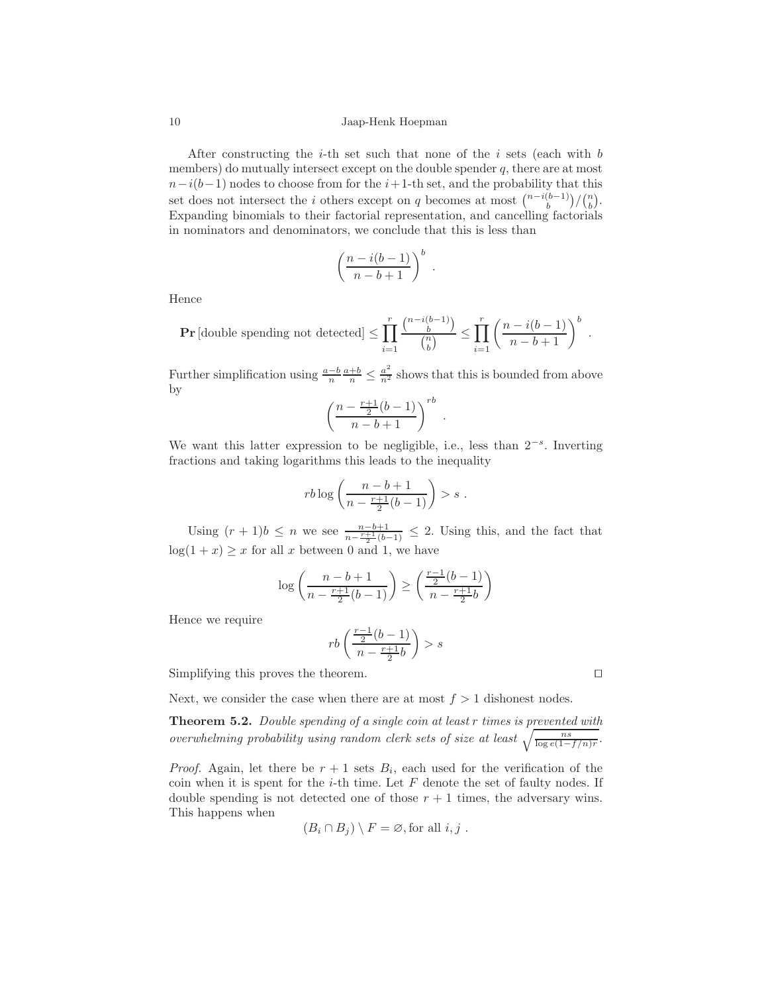After constructing the *i*-th set such that none of the *i* sets (each with  $b$ members) do mutually intersect except on the double spender  $q$ , there are at most  $n-i(b-1)$  nodes to choose from for the  $i+1$ -th set, and the probability that this set does not intersect the *i* others except on q becomes at most  $\binom{n-i(b-1)}{b}/\binom{n}{b}$ . Expanding binomials to their factorial representation, and cancelling factorials in nominators and denominators, we conclude that this is less than

$$
\left(\frac{n-i(b-1)}{n-b+1}\right)^b.
$$

Hence

$$
\Pr\left[\text{double spending not detected}\right] \le \prod_{i=1}^r \frac{\binom{n-i(b-1)}{b}}{\binom{n}{b}} \le \prod_{i=1}^r \left(\frac{n-i(b-1)}{n-b+1}\right)^b
$$

.

Further simplification using  $\frac{a-b}{n} \frac{a+b}{n} \leq \frac{a^2}{n^2}$  shows that this is bounded from above by

$$
\left(\frac{n-\frac{r+1}{2}(b-1)}{n-b+1}\right)^{rb}
$$

.

We want this latter expression to be negligible, i.e., less than  $2^{-s}$ . Inverting fractions and taking logarithms this leads to the inequality

$$
rb \log\left(\frac{n-b+1}{n-\frac{r+1}{2}(b-1)}\right) > s .
$$

Using  $(r + 1)b \leq n$  we see  $\frac{n-b+1}{n-\frac{r+1}{2}(b-1)} \leq 2$ . Using this, and the fact that  $log(1 + x) \geq x$  for all x between 0 and 1, we have

$$
\log \left( \frac{n-b+1}{n - \frac{r+1}{2}(b-1)} \right) \ge \left( \frac{\frac{r-1}{2}(b-1)}{n - \frac{r+1}{2}b} \right)
$$

Hence we require

$$
rb\left(\frac{\frac{r-1}{2}(b-1)}{n-\frac{r+1}{2}b}\right) > s
$$

Simplifying this proves the theorem. □

Next, we consider the case when there are at most  $f > 1$  dishonest nodes.

Theorem 5.2. Double spending of a single coin at least r times is prevented with overwhelming probability using random clerk sets of size at least  $\sqrt{\frac{ns}{\log e(1-f/n)r}}$ .

*Proof.* Again, let there be  $r + 1$  sets  $B_i$ , each used for the verification of the coin when it is spent for the  $i$ -th time. Let  $F$  denote the set of faulty nodes. If double spending is not detected one of those  $r + 1$  times, the adversary wins. This happens when

$$
(B_i \cap B_j) \setminus F = \varnothing, \text{for all } i,j \ .
$$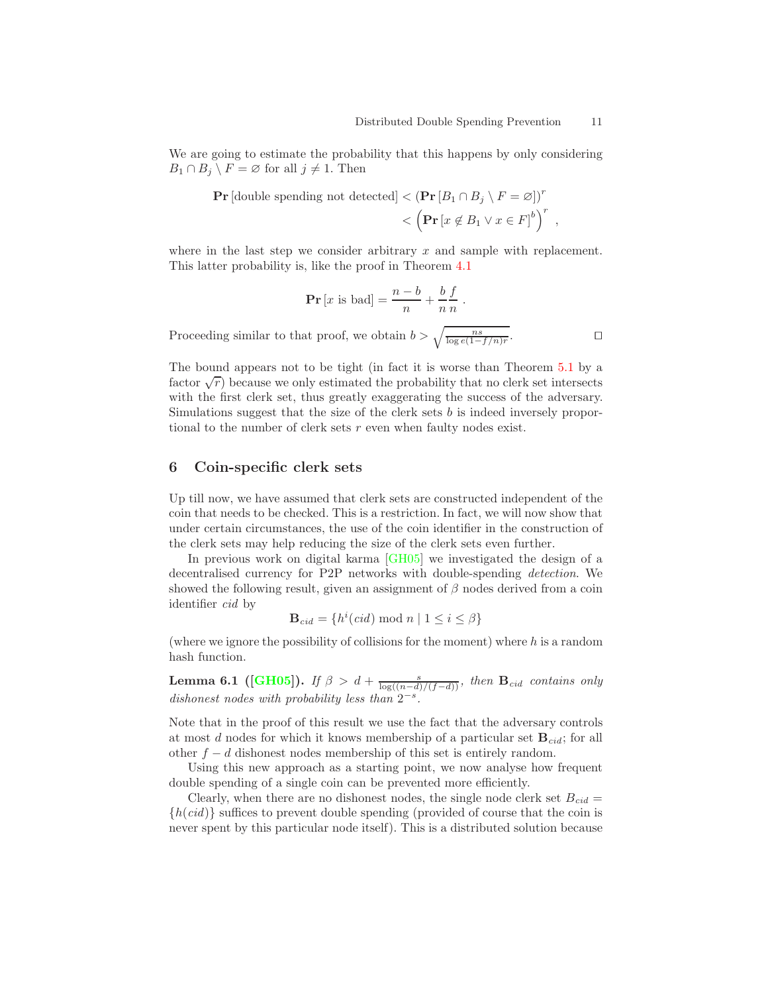We are going to estimate the probability that this happens by only considering  $B_1 \cap B_j \setminus F = \emptyset$  for all  $j \neq 1$ . Then

$$
\begin{aligned} \mathbf{Pr}\left[\text{double spending not detected}\right] &< \left(\mathbf{Pr}\left[B_1 \cap B_j \setminus F = \varnothing\right]\right)^r \\ &< \left(\mathbf{Pr}\left[x \notin B_1 \vee x \in F\right]^b\right)^r \end{aligned}
$$

where in the last step we consider arbitrary  $x$  and sample with replacement. This latter probability is, like the proof in Theorem [4.1](#page-7-2)

$$
\Pr[x \text{ is bad}] = \frac{n-b}{n} + \frac{b}{n} \frac{f}{n}.
$$

Proceeding similar to that proof, we obtain  $b > \sqrt{\frac{ns}{\log e(1-f/n)r}}$ . ⊓⊔

The bound appears not to be tight (in fact it is worse than Theorem [5.1](#page-8-2) by a factor  $\sqrt{r}$ ) because we only estimated the probability that no clerk set intersects with the first clerk set, thus greatly exaggerating the success of the adversary. Simulations suggest that the size of the clerk sets b is indeed inversely proportional to the number of clerk sets  $r$  even when faulty nodes exist.

## <span id="page-10-0"></span>6 Coin-specific clerk sets

Up till now, we have assumed that clerk sets are constructed independent of the coin that needs to be checked. This is a restriction. In fact, we will now show that under certain circumstances, the use of the coin identifier in the construction of the clerk sets may help reducing the size of the clerk sets even further.

In previous work on digital karma [\[GH05\]](#page-13-4) we investigated the design of a decentralised currency for P2P networks with double-spending detection. We showed the following result, given an assignment of  $\beta$  nodes derived from a coin identifier cid by

<span id="page-10-1"></span>
$$
\mathbf{B}_{cid} = \{ h^i(cid) \bmod n \mid 1 \le i \le \beta \}
$$

(where we ignore the possibility of collisions for the moment) where h is a random hash function.

**Lemma 6.1** ([\[GH05\]](#page-13-4)). If  $\beta > d + \frac{s}{\log((n-d)/(f-d))}$ , then  $\mathbf{B}_{cid}$  contains only dishonest nodes with probability less than  $2^{-s}$ .

Note that in the proof of this result we use the fact that the adversary controls at most d nodes for which it knows membership of a particular set  $B_{cid}$ ; for all other  $f - d$  dishonest nodes membership of this set is entirely random.

Using this new approach as a starting point, we now analyse how frequent double spending of a single coin can be prevented more efficiently.

Clearly, when there are no dishonest nodes, the single node clerk set  $B_{cid}$  =  ${h(cid)}$  suffices to prevent double spending (provided of course that the coin is never spent by this particular node itself). This is a distributed solution because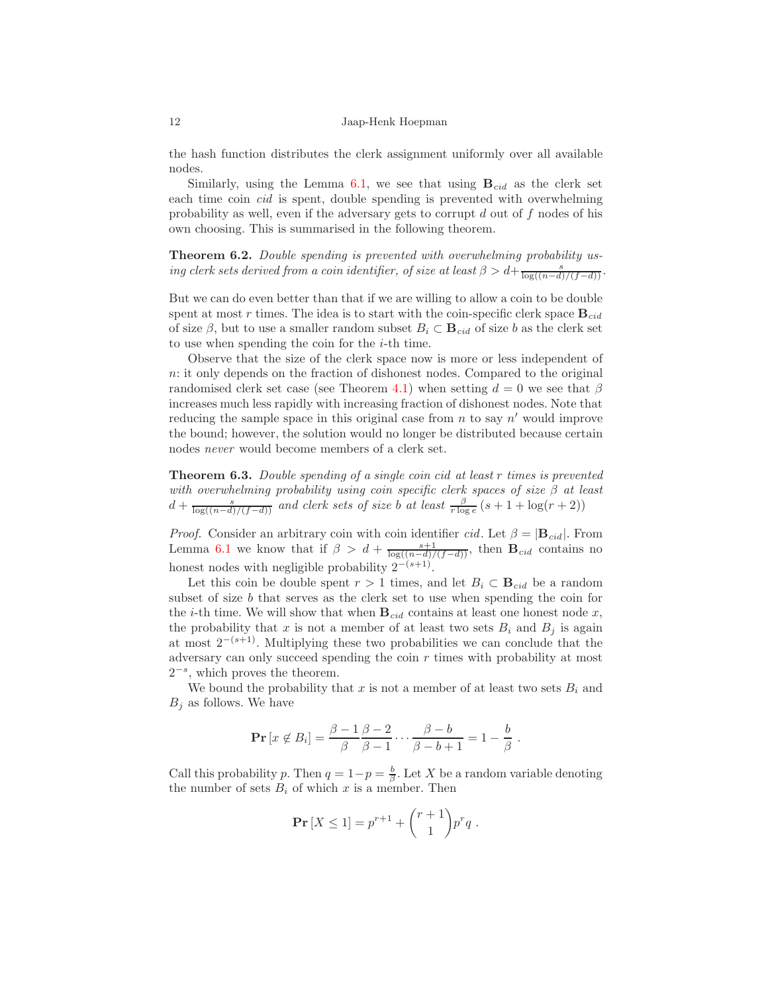the hash function distributes the clerk assignment uniformly over all available nodes.

Similarly, using the Lemma [6.1,](#page-10-1) we see that using  $B_{cid}$  as the clerk set each time coin *cid* is spent, double spending is prevented with overwhelming probability as well, even if the adversary gets to corrupt  $d$  out of  $f$  nodes of his own choosing. This is summarised in the following theorem.

Theorem 6.2. Double spending is prevented with overwhelming probability using clerk sets derived from a coin identifier, of size at least  $\beta > d + \frac{s}{\log((n-d)/(f-d))}$ .

But we can do even better than that if we are willing to allow a coin to be double spent at most r times. The idea is to start with the coin-specific clerk space  $B_{cid}$ of size  $\beta$ , but to use a smaller random subset  $B_i \subset \mathbf{B}_{cid}$  of size b as the clerk set to use when spending the coin for the i-th time.

Observe that the size of the clerk space now is more or less independent of n: it only depends on the fraction of dishonest nodes. Compared to the original randomised clerk set case (see Theorem [4.1\)](#page-7-2) when setting  $d = 0$  we see that  $\beta$ increases much less rapidly with increasing fraction of dishonest nodes. Note that reducing the sample space in this original case from  $n$  to say  $n'$  would improve the bound; however, the solution would no longer be distributed because certain nodes never would become members of a clerk set.

Theorem 6.3. Double spending of a single coin cid at least r times is prevented with overwhelming probability using coin specific clerk spaces of size  $\beta$  at least  $d + \frac{s}{\log((n-d)/(f-d))}$  and clerk sets of size b at least  $\frac{\beta}{r \log e} (s + 1 + \log(r + 2))$ 

*Proof.* Consider an arbitrary coin with coin identifier cid. Let  $\beta = |\mathbf{B}_{cid}|$ . From Lemma [6.1](#page-10-1) we know that if  $\beta > d + \frac{s+1}{\log((n-d)/(f-d))}$ , then **B**<sub>cid</sub> contains no honest nodes with negligible probability  $2^{-(s+1)}$ .

Let this coin be double spent  $r > 1$  times, and let  $B_i \subset \mathbf{B}_{cid}$  be a random subset of size b that serves as the clerk set to use when spending the coin for the *i*-th time. We will show that when  $B_{cid}$  contains at least one honest node x, the probability that x is not a member of at least two sets  $B_i$  and  $B_j$  is again at most  $2^{-(s+1)}$ . Multiplying these two probabilities we can conclude that the adversary can only succeed spending the coin r times with probability at most  $2^{-s}$ , which proves the theorem.

We bound the probability that x is not a member of at least two sets  $B_i$  and  $B_j$  as follows. We have

$$
\Pr[x \notin B_i] = \frac{\beta - 1}{\beta} \frac{\beta - 2}{\beta - 1} \cdots \frac{\beta - b}{\beta - b + 1} = 1 - \frac{b}{\beta}.
$$

Call this probability p. Then  $q = 1-p = \frac{b}{\beta}$ . Let X be a random variable denoting the number of sets  $B_i$  of which x is a member. Then

$$
\Pr[X \le 1] = p^{r+1} + \binom{r+1}{1} p^r q \; .
$$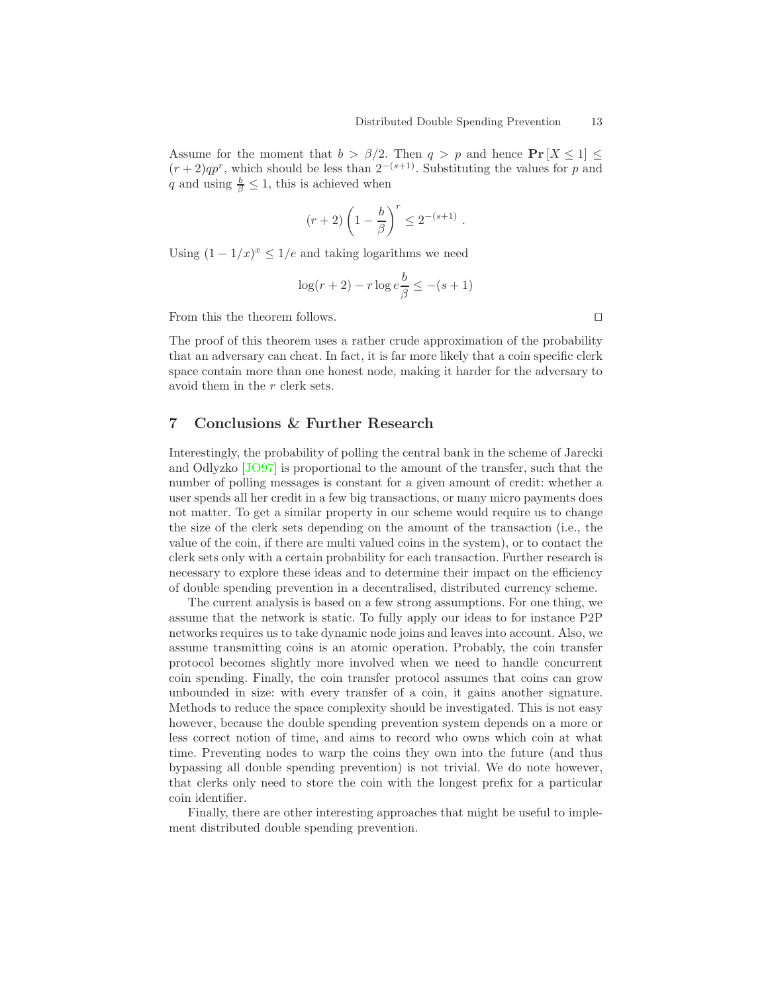Assume for the moment that  $b > \beta/2$ . Then  $q > p$  and hence  $\Pr[X \leq 1] \leq$  $(r+2)qp^r$ , which should be less than  $2^{-(s+1)}$ . Substituting the values for p and q and using  $\frac{b}{\beta} \leq 1$ , this is achieved when

$$
(r+2)\left(1-\frac{b}{\beta}\right)^r \leq 2^{-(s+1)}.
$$

Using  $(1 - 1/x)^x \le 1/e$  and taking logarithms we need

$$
\log(r+2) - r \log e^{\frac{b}{\beta}} \le -(s+1)
$$

From this the theorem follows. ⊓⊔

The proof of this theorem uses a rather crude approximation of the probability that an adversary can cheat. In fact, it is far more likely that a coin specific clerk space contain more than one honest node, making it harder for the adversary to avoid them in the r clerk sets.

# <span id="page-12-0"></span>7 Conclusions & Further Research

Interestingly, the probability of polling the central bank in the scheme of Jarecki and Odlyzko [\[JO97\]](#page-13-9) is proportional to the amount of the transfer, such that the number of polling messages is constant for a given amount of credit: whether a user spends all her credit in a few big transactions, or many micro payments does not matter. To get a similar property in our scheme would require us to change the size of the clerk sets depending on the amount of the transaction (i.e., the value of the coin, if there are multi valued coins in the system), or to contact the clerk sets only with a certain probability for each transaction. Further research is necessary to explore these ideas and to determine their impact on the efficiency of double spending prevention in a decentralised, distributed currency scheme.

The current analysis is based on a few strong assumptions. For one thing, we assume that the network is static. To fully apply our ideas to for instance P2P networks requires us to take dynamic node joins and leaves into account. Also, we assume transmitting coins is an atomic operation. Probably, the coin transfer protocol becomes slightly more involved when we need to handle concurrent coin spending. Finally, the coin transfer protocol assumes that coins can grow unbounded in size: with every transfer of a coin, it gains another signature. Methods to reduce the space complexity should be investigated. This is not easy however, because the double spending prevention system depends on a more or less correct notion of time, and aims to record who owns which coin at what time. Preventing nodes to warp the coins they own into the future (and thus bypassing all double spending prevention) is not trivial. We do note however, that clerks only need to store the coin with the longest prefix for a particular coin identifier.

Finally, there are other interesting approaches that might be useful to implement distributed double spending prevention.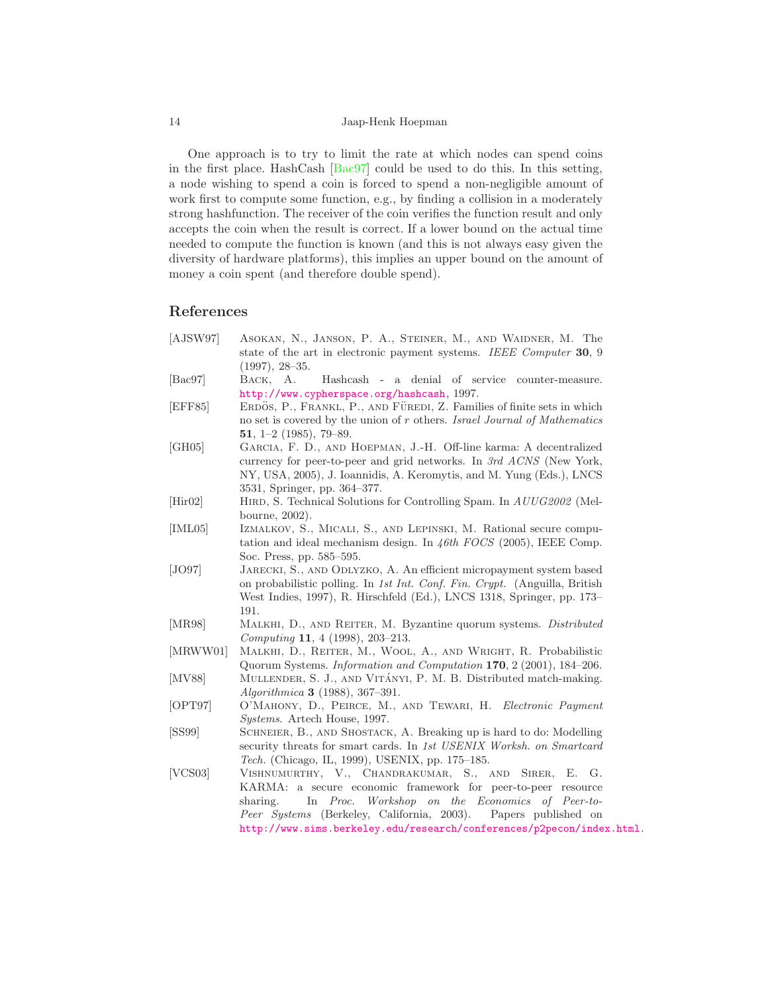#### 14 Jaap-Henk Hoepman

One approach is to try to limit the rate at which nodes can spend coins in the first place. HashCash  $\left[\text{Bac97}\right]$  could be used to do this. In this setting, a node wishing to spend a coin is forced to spend a non-negligible amount of work first to compute some function, e.g., by finding a collision in a moderately strong hashfunction. The receiver of the coin verifies the function result and only accepts the coin when the result is correct. If a lower bound on the actual time needed to compute the function is known (and this is not always easy given the diversity of hardware platforms), this implies an upper bound on the amount of money a coin spent (and therefore double spend).

# References

- <span id="page-13-0"></span>[AJSW97] Asokan, N., Janson, P. A., Steiner, M., and Waidner, M. The state of the art in electronic payment systems. IEEE Computer 30, 9 (1997), 28–35.
- <span id="page-13-12"></span>[Bac97] Back, A. Hashcash - a denial of service counter-measure. <http://www.cypherspace.org/hashcash>, 1997.
- <span id="page-13-11"></span>[EFF85] ERDOS, P., FRANKL, P., AND FÜREDI, Z. Families of finite sets in which no set is covered by the union of  $r$  others. Israel Journal of Mathematics 51, 1–2 (1985), 79–89.
- <span id="page-13-4"></span>[GH05] Garcia, F. D., and Hoepman, J.-H. Off-line karma: A decentralized currency for peer-to-peer and grid networks. In 3rd ACNS (New York, NY, USA, 2005), J. Ioannidis, A. Keromytis, and M. Yung (Eds.), LNCS 3531, Springer, pp. 364–377.
- <span id="page-13-2"></span>[Hir02] Hird, S. Technical Solutions for Controlling Spam. In AUUG2002 (Melbourne, 2002).
- <span id="page-13-6"></span>[IML05] IZMALKOV, S., MICALI, S., AND LEPINSKI, M. Rational secure computation and ideal mechanism design. In 46th FOCS (2005), IEEE Comp. Soc. Press, pp. 585–595.
- <span id="page-13-9"></span>[JO97] Jarecki, S., and Odlyzko, A. An efficient micropayment system based on probabilistic polling. In 1st Int. Conf. Fin. Crypt. (Anguilla, British West Indies, 1997), R. Hirschfeld (Ed.), LNCS 1318, Springer, pp. 173– 191.
- <span id="page-13-7"></span>[MR98] MALKHI, D., AND REITER, M. Byzantine quorum systems. Distributed Computing 11, 4 (1998), 203–213.
- <span id="page-13-8"></span>[MRWW01] Malkhi, D., Reiter, M., Wool, A., and Wright, R. Probabilistic Quorum Systems. Information and Computation 170, 2 (2001), 184–206. [MV88] MULLENDER, S. J., AND VITÁNYI, P. M. B. Distributed match-making.  $Algorithmica$  3 (1988), 367-391.
- <span id="page-13-10"></span><span id="page-13-1"></span>[OPT97] O'MAHONY, D., PEIRCE, M., AND TEWARI, H. Electronic Payment Systems. Artech House, 1997.
- <span id="page-13-5"></span>[SS99] Schneier, B., and Shostack, A. Breaking up is hard to do: Modelling security threats for smart cards. In 1st USENIX Worksh. on Smartcard Tech. (Chicago, IL, 1999), USENIX, pp. 175–185.
- <span id="page-13-3"></span>[VCS03] Vishnumurthy, V., Chandrakumar, S., and Sirer, E. G. KARMA: a secure economic framework for peer-to-peer resource sharing. In Proc. Workshop on the Economics of Peer-to-Peer Systems (Berkeley, California, 2003). Papers published on <http://www.sims.berkeley.edu/research/conferences/p2pecon/index.html>.